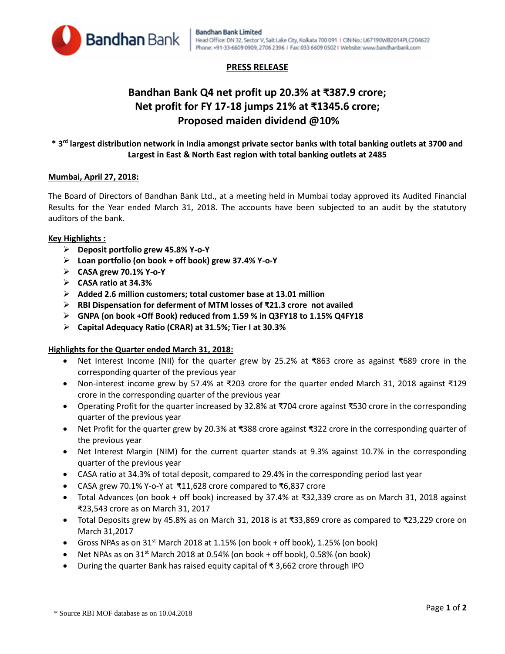

# **PRESS RELEASE**

# **Bandhan Bank Q4 net profit up 20.3% at ₹387.9 crore; Net profit for FY 17-18 jumps 21% at ₹1345.6 crore; Proposed maiden dividend @10%**

# **\* 3rd largest distribution network in India amongst private sector banks with total banking outlets at 3700 and Largest in East & North East region with total banking outlets at 2485**

## **Mumbai, April 27, 2018:**

The Board of Directors of Bandhan Bank Ltd., at a meeting held in Mumbai today approved its Audited Financial Results for the Year ended March 31, 2018. The accounts have been subjected to an audit by the statutory auditors of the bank.

## **Key Highlights :**

- **Deposit portfolio grew 45.8% Y-o-Y**
- **Loan portfolio (on book + off book) grew 37.4% Y-o-Y**
- **CASA grew 70.1% Y-o-Y**
- **CASA ratio at 34.3%**
- **Added 2.6 million customers; total customer base at 13.01 million**
- **RBI Dispensation for deferment of MTM losses of ₹21.3 crore not availed**
- **GNPA (on book +Off Book) reduced from 1.59 % in Q3FY18 to 1.15% Q4FY18**
- **Capital Adequacy Ratio (CRAR) at 31.5%; Tier I at 30.3%**

# **Highlights for the Quarter ended March 31, 2018:**

- Net Interest Income (NII) for the quarter grew by 25.2% at ₹863 crore as against ₹689 crore in the corresponding quarter of the previous year
- Non-interest income grew by 57.4% at ₹203 crore for the quarter ended March 31, 2018 against ₹129 crore in the corresponding quarter of the previous year
- Operating Profit for the quarter increased by 32.8% at ₹704 crore against ₹530 crore in the corresponding quarter of the previous year
- Net Profit for the quarter grew by 20.3% at ₹388 crore against ₹322 crore in the corresponding quarter of the previous year
- Net Interest Margin (NIM) for the current quarter stands at 9.3% against 10.7% in the corresponding quarter of the previous year
- CASA ratio at 34.3% of total deposit, compared to 29.4% in the corresponding period last year
- CASA grew 70.1% Y-o-Y at ₹11,628 crore compared to ₹6,837 crore
- Total Advances (on book + off book) increased by 37.4% at ₹32,339 crore as on March 31, 2018 against ₹23,543 crore as on March 31, 2017
- Total Deposits grew by 45.8% as on March 31, 2018 is at ₹33,869 crore as compared to ₹23,229 crore on March 31,2017
- Gross NPAs as on  $31<sup>st</sup>$  March 2018 at 1.15% (on book + off book), 1.25% (on book)
- Net NPAs as on  $31^{st}$  March 2018 at 0.54% (on book + off book), 0.58% (on book)
- During the quarter Bank has raised equity capital of ₹ 3,662 crore through IPO